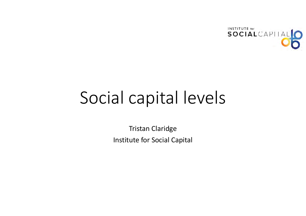

# Social capital levels

Tristan Claridge Institute for Social Capital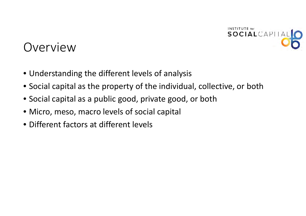

## Overview

- Understanding the different levels of analysis
- Social capital as the property of the individual, collective, or both
- Social capital as <sup>a</sup> public good, private good, or both
- Micro, meso, macro levels of social capital
- Different factors at different levels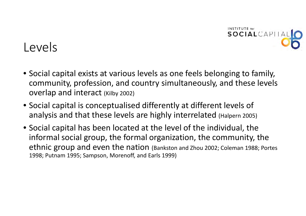

## Levels

- Social capital exists at various levels as one feels belonging to family, community, profession, and country simultaneously, and these levels overlap and interact (Kilby 2002)
- Social capital is conceptualised differently at different levels of analysis and that these levels are highly interrelated (Halpern 2005)
- Social capital has been located at the level of the individual, the informal social group, the formal organization, the community, the ethnic group and even the nation (Bankston and Zhou 2002; Coleman 1988; Portes 1998; Putnam 1995; Sampson, Morenoff, and Earls 1999)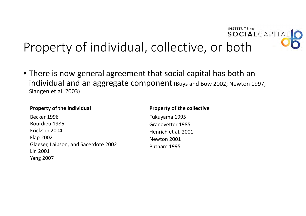#### **INSTITUTE** for SOCIALCAPITAL Property of individual, collective, or both

• There is now general agreement that social capital has both an individual and an aggregate component (Buys and Bow 2002; Newton 1997; Slangen et al. 2003)

#### **Property of the individual Property of the collective**

Becker 1996Bourdieu 1986 Erickson 2004 Flap 2002 Glaeser, Laibson, and Sacerdote 2002 Lin 2001 Yang 2007

Fukuyama 1995 Granovetter 1985Henrich et al. 2001 Newton 2001 Putnam 1995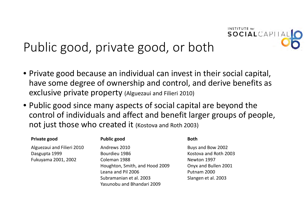

## Public good, private good, or both

- Private good because an individual can invest in their social capital, have some degree of ownership and control, and derive benefits as exclusive private property (Alguezaui and Filieri 2010)
- Public good since many aspects of social capital are beyond the control of individuals and affect and benefit larger groups of people, not just those who created it (Kostova and Roth 2003)

| Private good               | <b>Public good</b>             | <b>Both</b>           |
|----------------------------|--------------------------------|-----------------------|
| Alguezaui and Filieri 2010 | Andrews 2010                   | Buys and Bow 2002     |
| Dasgupta 1999              | Bourdieu 1986                  | Kostova and Roth 2003 |
| Fukuyama 2001, 2002        | Coleman 1988                   | Newton 1997           |
|                            | Houghton, Smith, and Hood 2009 | Onyx and Bullen 2001  |
|                            | Leana and Pil 2006             | Putnam 2000           |
|                            | Subramanian et al. 2003        | Slangen et al. 2003   |
|                            | Yasunobu and Bhandari 2009     |                       |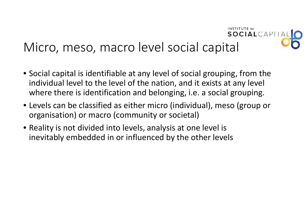# Micro, meso, macro level social capital

• Social capital is identifiable at any level of social grouping, from the individual level to the level of the nation, and it exists at any level where there is identification and belonging, i.e. <sup>a</sup> social grouping.

INSTITUTE for

SOCIALCAPITA

- Levels can be classified as either micro (individual), meso (group or organisation) or macro (community or societal)
- Reality is not divided into levels, analysis at one level is inevitably embedded in or influenced by the other levels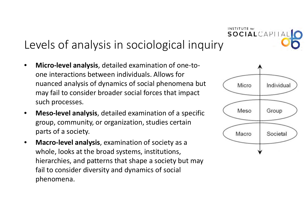## Levels of analysis in sociological inquiry

- • **Micro‐level analysis**, detailed examination of one‐to‐ one interactions between individuals. Allows for nuanced analysis of dynamics of social phenomena but may fail to consider broader social forces that impact such processes.
- • **Meso‐level analysis**, detailed examination of <sup>a</sup> specific group, community, or organization, studies certain parts of <sup>a</sup> society.
- • **Macro‐level analysis**, examination of society as <sup>a</sup> whole, looks at the broad systems, institutions, hierarchies, and patterns that shape <sup>a</sup> society but may fail to consider diversity and dynamics of social phenomena.



**INSTITUTE** for

SOCIALCAPIT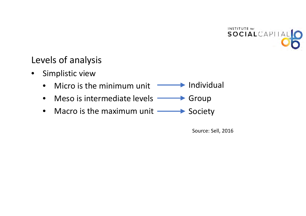

#### Levels of analysis

- $\bullet$  Simplistic view
	- •• Micro is the minimum unit TALLA Individual
	- $\bullet$ • Meso is intermediate levels – Soroup
	- $\bullet$ • Macro is the maximum unit – Society

Source: Sell, 2016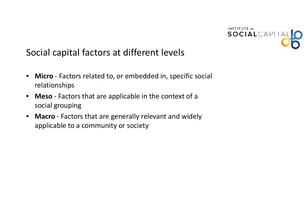

### Social capital factors at different levels

- • **Micro** ‐ Factors related to, or embedded in, specific social relationships
- • **Meso** ‐ Factors that are applicable in the context of <sup>a</sup> social grouping
- $\bullet$  **Macro** ‐ Factors that are generally relevant and widely applicable to <sup>a</sup> community or society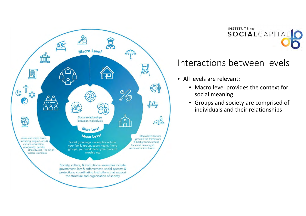

## INSTITUTE for SOCIALCAPITAL

#### Interactions between levels

- $\bullet$  All levels are relevant:
	- Macro level provides the context for social meaning
	- Groups and society are comprised of individuals and their relationships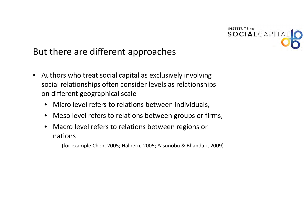

#### But there are different approaches

- $\bullet$  Authors who treat social capital as exclusively involving social relationships often consider levels as relationships on different geographical scale
	- Micro level refers to relations between individuals,
	- Meso level refers to relations between groups or firms,
	- • Macro level refers to relations between regions or nations

(for example Chen, 2005; Halpern, 2005; Yasunobu & Bhandari, 2009)